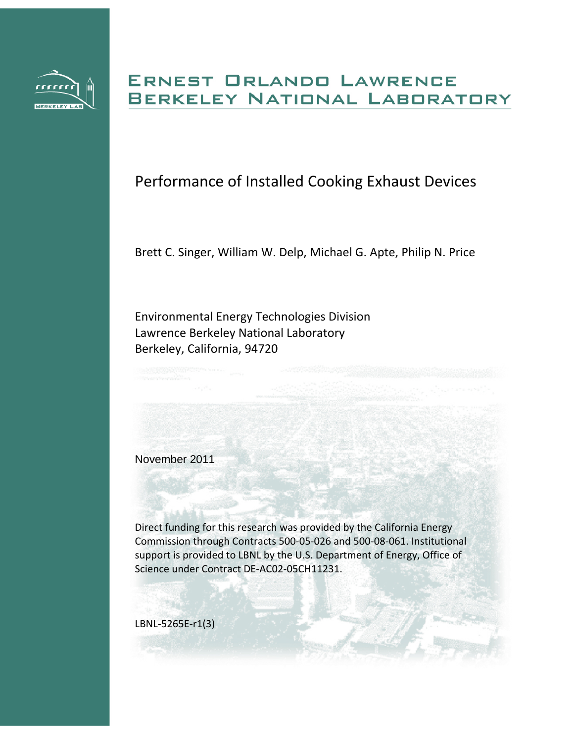

# **ERNEST ORLANDO LAWRENCE BERKELEY NATIONAL LABORATORY**

## Performance of Installed Cooking Exhaust Devices

Brett C. Singer, William W. Delp, Michael G. Apte, Philip N. Price

 Environmental Energy Technologies Division Lawrence Berkeley National Laboratory Berkeley, California, 94720

November 2011

 Direct funding for this research was provided by the California Energy Commission through Contracts 500‐05‐026 and 500‐08‐061. Institutional support is provided to LBNL by the U.S. Department of Energy, Office of Science under Contract DE‐AC02‐05CH11231.

LBNL‐5265E‐r1(3)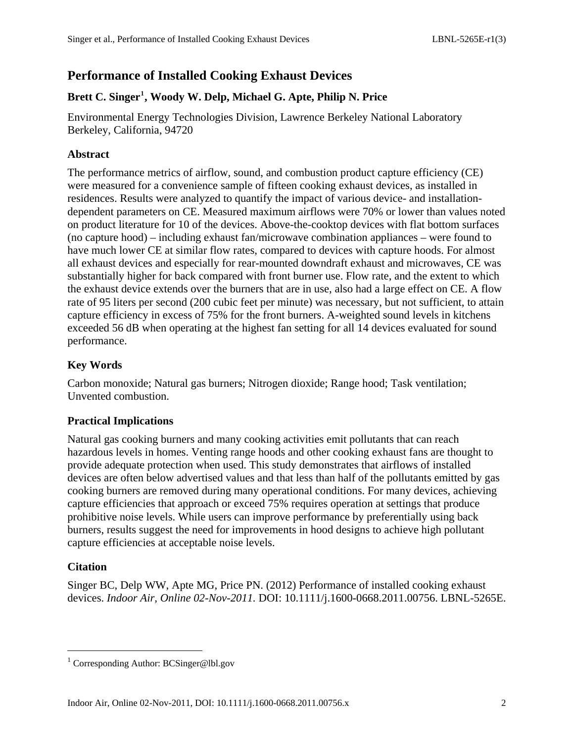## **Performance of Installed Cooking Exhaust Devices**

## <span id="page-1-0"></span>**Brett C. Singer[1](#page-1-0) , Woody W. Delp, Michael G. Apte, Philip N. Price**

Environmental Energy Technologies Division, Lawrence Berkeley National Laboratory Berkeley, California, 94720

## **Abstract**

The performance metrics of airflow, sound, and combustion product capture efficiency (CE) were measured for a convenience sample of fifteen cooking exhaust devices, as installed in residences. Results were analyzed to quantify the impact of various device- and installationdependent parameters on CE. Measured maximum airflows were 70% or lower than values noted on product literature for 10 of the devices. Above-the-cooktop devices with flat bottom surfaces (no capture hood) – including exhaust fan/microwave combination appliances – were found to have much lower CE at similar flow rates, compared to devices with capture hoods. For almost all exhaust devices and especially for rear-mounted downdraft exhaust and microwaves, CE was substantially higher for back compared with front burner use. Flow rate, and the extent to which the exhaust device extends over the burners that are in use, also had a large effect on CE. A flow rate of 95 liters per second (200 cubic feet per minute) was necessary, but not sufficient, to attain capture efficiency in excess of 75% for the front burners. A-weighted sound levels in kitchens exceeded 56 dB when operating at the highest fan setting for all 14 devices evaluated for sound performance.

## **Key Words**

Carbon monoxide; Natural gas burners; Nitrogen dioxide; Range hood; Task ventilation; Unvented combustion.

## **Practical Implications**

Natural gas cooking burners and many cooking activities emit pollutants that can reach hazardous levels in homes. Venting range hoods and other cooking exhaust fans are thought to provide adequate protection when used. This study demonstrates that airflows of installed devices are often below advertised values and that less than half of the pollutants emitted by gas cooking burners are removed during many operational conditions. For many devices, achieving capture efficiencies that approach or exceed 75% requires operation at settings that produce prohibitive noise levels. While users can improve performance by preferentially using back burners, results suggest the need for improvements in hood designs to achieve high pollutant capture efficiencies at acceptable noise levels.

## **Citation**

1

Singer BC, Delp WW, Apte MG, Price PN. (2012) Performance of installed cooking exhaust devices. *Indoor Air, Online 02-Nov-2011.* DOI: 10.1111/j.1600-0668.2011.00756. LBNL-5265E.

<sup>&</sup>lt;sup>1</sup> Corresponding Author: BCSinger@lbl.gov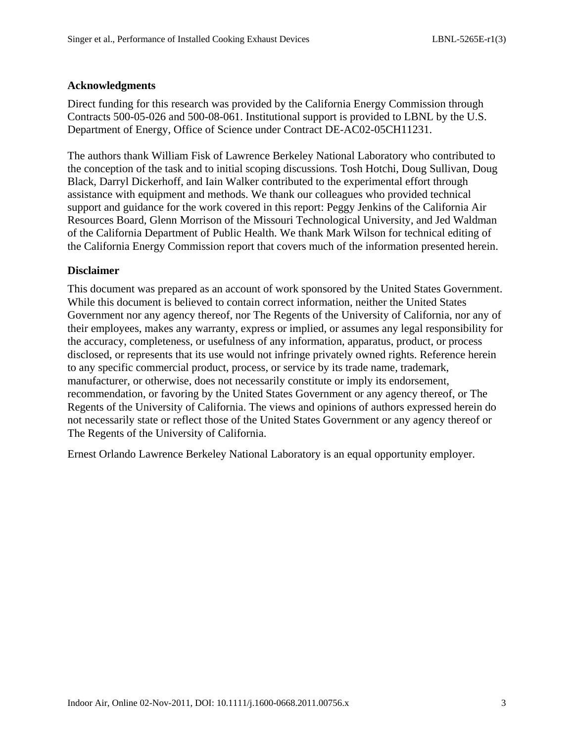#### **Acknowledgments**

Direct funding for this research was provided by the California Energy Commission through Contracts 500-05-026 and 500-08-061. Institutional support is provided to LBNL by the U.S. Department of Energy, Office of Science under Contract DE-AC02-05CH11231.

The authors thank William Fisk of Lawrence Berkeley National Laboratory who contributed to the conception of the task and to initial scoping discussions. Tosh Hotchi, Doug Sullivan, Doug Black, Darryl Dickerhoff, and Iain Walker contributed to the experimental effort through assistance with equipment and methods. We thank our colleagues who provided technical support and guidance for the work covered in this report: Peggy Jenkins of the California Air Resources Board, Glenn Morrison of the Missouri Technological University, and Jed Waldman of the California Department of Public Health. We thank Mark Wilson for technical editing of the California Energy Commission report that covers much of the information presented herein.

#### **Disclaimer**

This document was prepared as an account of work sponsored by the United States Government. While this document is believed to contain correct information, neither the United States Government nor any agency thereof, nor The Regents of the University of California, nor any of their employees, makes any warranty, express or implied, or assumes any legal responsibility for the accuracy, completeness, or usefulness of any information, apparatus, product, or process disclosed, or represents that its use would not infringe privately owned rights. Reference herein to any specific commercial product, process, or service by its trade name, trademark, manufacturer, or otherwise, does not necessarily constitute or imply its endorsement, recommendation, or favoring by the United States Government or any agency thereof, or The Regents of the University of California. The views and opinions of authors expressed herein do not necessarily state or reflect those of the United States Government or any agency thereof or The Regents of the University of California.

Ernest Orlando Lawrence Berkeley National Laboratory is an equal opportunity employer.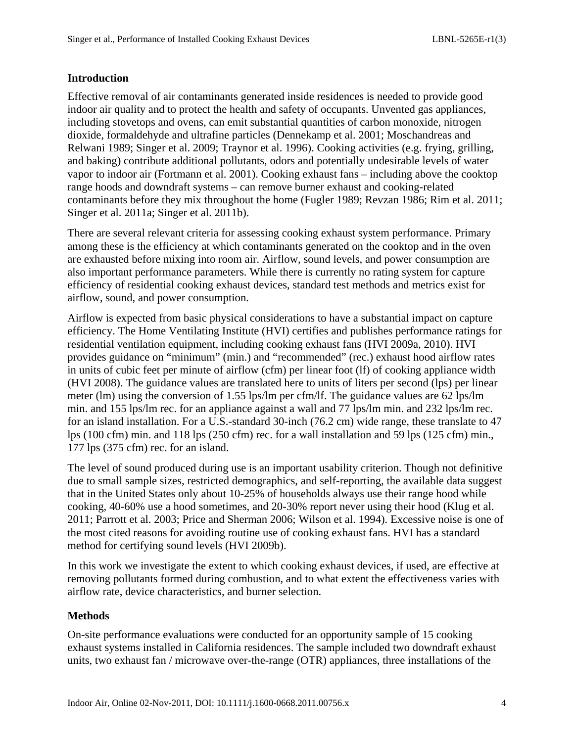### **Introduction**

Effective removal of air contaminants generated inside residences is needed to provide good indoor air quality and to protect the health and safety of occupants. Unvented gas appliances, including stovetops and ovens, can emit substantial quantities of carbon monoxide, nitrogen dioxide, formaldehyde and ultrafine particles [\(Dennekamp et al. 2001](#page-12-0); [Moschandreas and](#page-13-0)  [Relwani 1989;](#page-13-0) [Singer et al. 2009;](#page-13-1) [Traynor et al. 1996](#page-13-2)). Cooking activities (e.g. frying, grilling, and baking) contribute additional pollutants, odors and potentially undesirable levels of water vapor to indoor air ([Fortmann et al. 2001\)](#page-12-1). Cooking exhaust fans – including above the cooktop range hoods and downdraft systems – can remove burner exhaust and cooking-related contaminants before they mix throughout the home ([Fugler 1989](#page-12-2); [Revzan 1986;](#page-13-3) Rim et al. 2011; Singer et al. 2011a; Singer et al. 2011b).

There are several relevant criteria for assessing cooking exhaust system performance. Primary among these is the efficiency at which contaminants generated on the cooktop and in the oven are exhausted before mixing into room air. Airflow, sound levels, and power consumption are also important performance parameters. While there is currently no rating system for capture efficiency of residential cooking exhaust devices, standard test methods and metrics exist for airflow, sound, and power consumption.

Airflow is expected from basic physical considerations to have a substantial impact on capture efficiency. The Home Ventilating Institute (HVI) certifies and publishes performance ratings for residential ventilation equipment, including cooking exhaust fans ([HVI 2009a](#page-12-3), [2010](#page-13-4)). HVI provides guidance on "minimum" (min.) and "recommended" (rec.) exhaust hood airflow rates in units of cubic feet per minute of airflow (cfm) per linear foot (lf) of cooking appliance width ([HVI 2008](#page-12-4)). The guidance values are translated here to units of liters per second (lps) per linear meter (lm) using the conversion of 1.55 lps/lm per cfm/lf. The guidance values are 62 lps/lm min. and 155 lps/lm rec. for an appliance against a wall and 77 lps/lm min. and 232 lps/lm rec. for an island installation. For a U.S.-standard 30-inch (76.2 cm) wide range, these translate to 47 lps (100 cfm) min. and 118 lps (250 cfm) rec. for a wall installation and 59 lps (125 cfm) min., 177 lps (375 cfm) rec. for an island.

The level of sound produced during use is an important usability criterion. Though not definitive due to small sample sizes, restricted demographics, and self-reporting, the available data suggest that in the United States only about 10-25% of households always use their range hood while cooking, 40-60% use a hood sometimes, and 20-30% report never using their hood (Klug et al. 2011; [Parrott et al. 2003](#page-13-5); [Price and Sherman 2006](#page-13-6); [Wilson et al. 1994\)](#page-13-7). Excessive noise is one of the most cited reasons for avoiding routine use of cooking exhaust fans. HVI has a standard method for certifying sound levels [\(HVI 2009b\)](#page-13-8).

In this work we investigate the extent to which cooking exhaust devices, if used, are effective at removing pollutants formed during combustion, and to what extent the effectiveness varies with airflow rate, device characteristics, and burner selection.

#### **Methods**

On-site performance evaluations were conducted for an opportunity sample of 15 cooking exhaust systems installed in California residences. The sample included two downdraft exhaust units, two exhaust fan / microwave over-the-range (OTR) appliances, three installations of the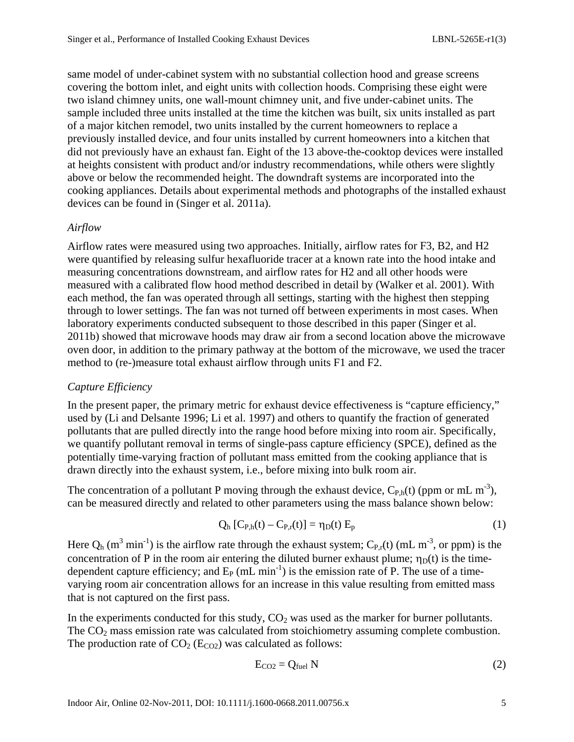same model of under-cabinet system with no substantial collection hood and grease screens covering the bottom inlet, and eight units with collection hoods. Comprising these eight were two island chimney units, one wall-mount chimney unit, and five under-cabinet units. The sample included three units installed at the time the kitchen was built, six units installed as part of a major kitchen remodel, two units installed by the current homeowners to replace a previously installed device, and four units installed by current homeowners into a kitchen that did not previously have an exhaust fan. Eight of the 13 above-the-cooktop devices were installed at heights consistent with product and/or industry recommendations, while others were slightly above or below the recommended height. The downdraft systems are incorporated into the cooking appliances. Details about experimental methods and photographs of the installed exhaust devices can be found in [\(Singer et al. 2011a](#page-13-9)).

#### *Airflow*

Airflow rates were measured using two approaches. Initially, airflow rates for F3, B2, and H2 were quantified by releasing sulfur hexafluoride tracer at a known rate into the hood intake and measuring concentrations downstream, and airflow rates for H2 and all other hoods were measured with a calibrated flow hood method described in detail by ([Walker et al. 2001](#page-13-10)). With each method, the fan was operated through all settings, starting with the highest then stepping through to lower settings. The fan was not turned off between experiments in most cases. When laboratory experiments conducted subsequent to those described in this paper ([Singer et al.](#page-13-11)  [2011b](#page-13-11)) showed that microwave hoods may draw air from a second location above the microwave oven door, in addition to the primary pathway at the bottom of the microwave, we used the tracer method to (re-)measure total exhaust airflow through units F1 and F2.

#### *Capture Efficiency*

In the present paper, the primary metric for exhaust device effectiveness is "capture efficiency," used by [\(Li and Delsante 1996](#page-13-12); [Li et al. 1997](#page-13-13)) and others to quantify the fraction of generated pollutants that are pulled directly into the range hood before mixing into room air. Specifically, we quantify pollutant removal in terms of single-pass capture efficiency (SPCE), defined as the potentially time-varying fraction of pollutant mass emitted from the cooking appliance that is drawn directly into the exhaust system, i.e., before mixing into bulk room air.

The concentration of a pollutant P moving through the exhaust device,  $C_{P,h}(t)$  (ppm or mL m<sup>-3</sup>), can be measured directly and related to other parameters using the mass balance shown below:

$$
Q_{h} [C_{P,h}(t) - C_{P,r}(t)] = \eta_{D}(t) E_{p}
$$
\n(1)

Here  $Q_h$  (m<sup>3</sup> min<sup>-1</sup>) is the airflow rate through the exhaust system;  $C_{P,r}(t)$  (mL m<sup>-3</sup>, or ppm) is the concentration of P in the room air entering the diluted burner exhaust plume;  $\eta_D(t)$  is the timedependent capture efficiency; and  $E_P$  (mL min<sup>-1</sup>) is the emission rate of P. The use of a timevarying room air concentration allows for an increase in this value resulting from emitted mass that is not captured on the first pass.

In the experiments conducted for this study,  $CO<sub>2</sub>$  was used as the marker for burner pollutants. The  $CO<sub>2</sub>$  mass emission rate was calculated from stoichiometry assuming complete combustion. The production rate of  $CO<sub>2</sub> (E<sub>CO2</sub>)$  was calculated as follows:

$$
E_{CO2} = Q_{fuel} N
$$
 (2)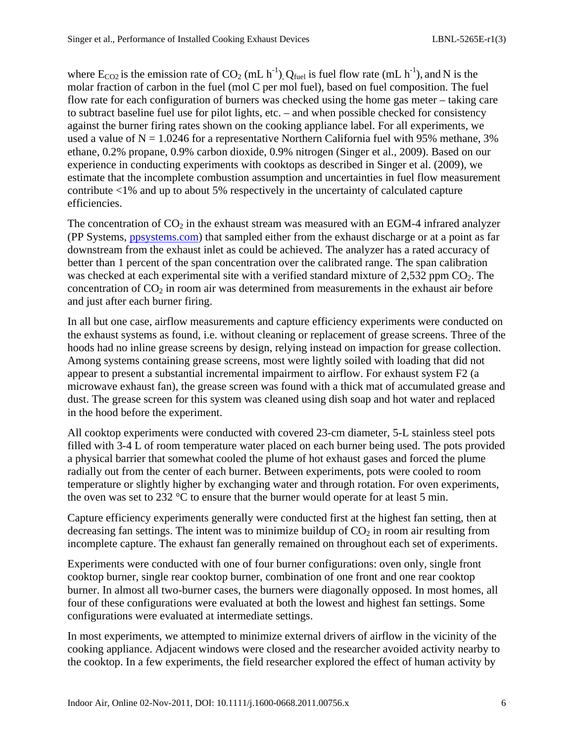where  $E_{CO2}$  is the emission rate of  $CO_2$  (mL h<sup>-1</sup>),  $Q_{fuel}$  is fuel flow rate (mL h<sup>-1</sup>), and N is the molar fraction of carbon in the fuel (mol C per mol fuel), based on fuel composition. The fuel flow rate for each configuration of burners was checked using the home gas meter – taking care to subtract baseline fuel use for pilot lights, etc. – and when possible checked for consistency against the burner firing rates shown on the cooking appliance label. For all experiments, we used a value of  $N = 1.0246$  for a representative Northern California fuel with 95% methane, 3% ethane, 0.2% propane, 0.9% carbon dioxide, 0.9% nitrogen (Singer et al., 2009). Based on our experience in conducting experiments with cooktops as described in Singer et al. (2009), we estimate that the incomplete combustion assumption and uncertainties in fuel flow measurement contribute <1% and up to about 5% respectively in the uncertainty of calculated capture efficiencies.

The concentration of  $CO<sub>2</sub>$  in the exhaust stream was measured with an EGM-4 infrared analyzer (PP Systems, [ppsystems.com\)](https://webspace.lbl.gov/users/bcsinger/Range%20Hood%20Report/ppsystems.com) that sampled either from the exhaust discharge or at a point as far downstream from the exhaust inlet as could be achieved. The analyzer has a rated accuracy of better than 1 percent of the span concentration over the calibrated range. The span calibration was checked at each experimental site with a verified standard mixture of  $2,532$  ppm  $CO<sub>2</sub>$ . The concentration of  $CO<sub>2</sub>$  in room air was determined from measurements in the exhaust air before and just after each burner firing.

In all but one case, airflow measurements and capture efficiency experiments were conducted on the exhaust systems as found, i.e. without cleaning or replacement of grease screens. Three of the hoods had no inline grease screens by design, relying instead on impaction for grease collection. Among systems containing grease screens, most were lightly soiled with loading that did not appear to present a substantial incremental impairment to airflow. For exhaust system F2 (a microwave exhaust fan), the grease screen was found with a thick mat of accumulated grease and dust. The grease screen for this system was cleaned using dish soap and hot water and replaced in the hood before the experiment.

All cooktop experiments were conducted with covered 23-cm diameter, 5-L stainless steel pots filled with 3-4 L of room temperature water placed on each burner being used. The pots provided a physical barrier that somewhat cooled the plume of hot exhaust gases and forced the plume radially out from the center of each burner. Between experiments, pots were cooled to room temperature or slightly higher by exchanging water and through rotation. For oven experiments, the oven was set to 232  $\degree$ C to ensure that the burner would operate for at least 5 min.

Capture efficiency experiments generally were conducted first at the highest fan setting, then at decreasing fan settings. The intent was to minimize buildup of  $CO<sub>2</sub>$  in room air resulting from incomplete capture. The exhaust fan generally remained on throughout each set of experiments.

Experiments were conducted with one of four burner configurations: oven only, single front cooktop burner, single rear cooktop burner, combination of one front and one rear cooktop burner. In almost all two-burner cases, the burners were diagonally opposed. In most homes, all four of these configurations were evaluated at both the lowest and highest fan settings. Some configurations were evaluated at intermediate settings.

In most experiments, we attempted to minimize external drivers of airflow in the vicinity of the cooking appliance. Adjacent windows were closed and the researcher avoided activity nearby to the cooktop. In a few experiments, the field researcher explored the effect of human activity by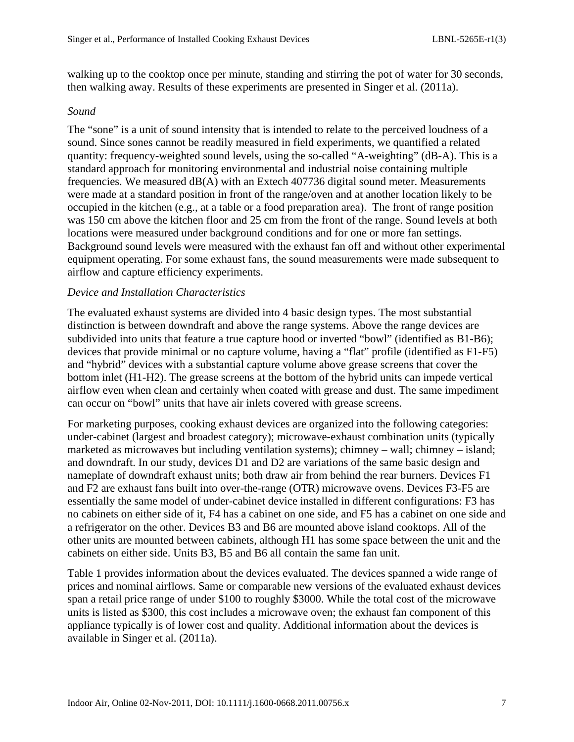walking up to the cooktop once per minute, standing and stirring the pot of water for 30 seconds, then walking away. Results of these experiments are presented in Singer et al. (2011a).

#### *Sound*

The "sone" is a unit of sound intensity that is intended to relate to the perceived loudness of a sound. Since sones cannot be readily measured in field experiments, we quantified a related quantity: frequency-weighted sound levels, using the so-called "A-weighting" (dB-A). This is a standard approach for monitoring environmental and industrial noise containing multiple frequencies. We measured dB(A) with an Extech 407736 digital sound meter. Measurements were made at a standard position in front of the range/oven and at another location likely to be occupied in the kitchen (e.g., at a table or a food preparation area). The front of range position was 150 cm above the kitchen floor and 25 cm from the front of the range. Sound levels at both locations were measured under background conditions and for one or more fan settings. Background sound levels were measured with the exhaust fan off and without other experimental equipment operating. For some exhaust fans, the sound measurements were made subsequent to airflow and capture efficiency experiments.

#### *Device and Installation Characteristics*

The evaluated exhaust systems are divided into 4 basic design types. The most substantial distinction is between downdraft and above the range systems. Above the range devices are subdivided into units that feature a true capture hood or inverted "bowl" (identified as B1-B6); devices that provide minimal or no capture volume, having a "flat" profile (identified as F1-F5) and "hybrid" devices with a substantial capture volume above grease screens that cover the bottom inlet (H1-H2). The grease screens at the bottom of the hybrid units can impede vertical airflow even when clean and certainly when coated with grease and dust. The same impediment can occur on "bowl" units that have air inlets covered with grease screens.

For marketing purposes, cooking exhaust devices are organized into the following categories: under-cabinet (largest and broadest category); microwave-exhaust combination units (typically marketed as microwaves but including ventilation systems); chimney – wall; chimney – island; and downdraft. In our study, devices D1 and D2 are variations of the same basic design and nameplate of downdraft exhaust units; both draw air from behind the rear burners. Devices F1 and F2 are exhaust fans built into over-the-range (OTR) microwave ovens. Devices F3-F5 are essentially the same model of under-cabinet device installed in different configurations: F3 has no cabinets on either side of it, F4 has a cabinet on one side, and F5 has a cabinet on one side and a refrigerator on the other. Devices B3 and B6 are mounted above island cooktops. All of the other units are mounted between cabinets, although H1 has some space between the unit and the cabinets on either side. Units B3, B5 and B6 all contain the same fan unit.

Table 1 provides information about the devices evaluated. The devices spanned a wide range of prices and nominal airflows. Same or comparable new versions of the evaluated exhaust devices span a retail price range of under \$100 to roughly \$3000. While the total cost of the microwave units is listed as \$300, this cost includes a microwave oven; the exhaust fan component of this appliance typically is of lower cost and quality. Additional information about the devices is available in Singer et al. (2011a).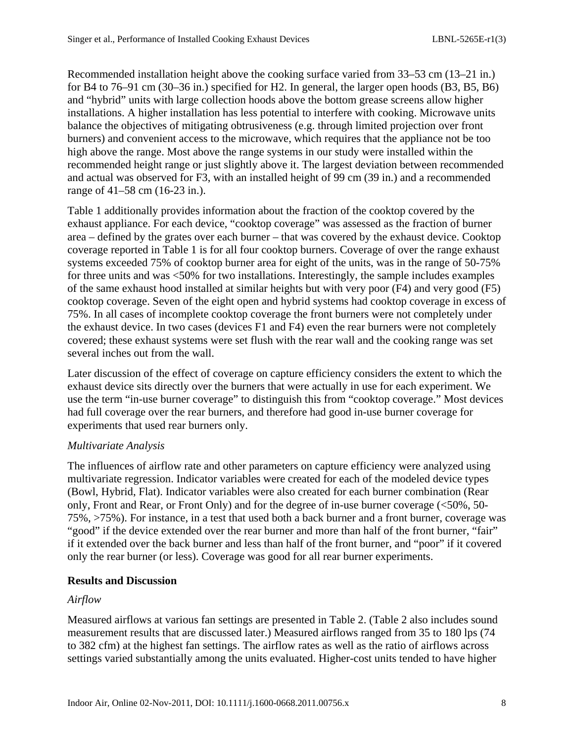Recommended installation height above the cooking surface varied from 33–53 cm (13–21 in.) for B4 to 76–91 cm (30–36 in.) specified for H2. In general, the larger open hoods (B3, B5, B6) and "hybrid" units with large collection hoods above the bottom grease screens allow higher installations. A higher installation has less potential to interfere with cooking. Microwave units balance the objectives of mitigating obtrusiveness (e.g. through limited projection over front burners) and convenient access to the microwave, which requires that the appliance not be too high above the range. Most above the range systems in our study were installed within the recommended height range or just slightly above it. The largest deviation between recommended and actual was observed for F3, with an installed height of 99 cm (39 in.) and a recommended range of 41–58 cm (16-23 in.).

Table 1 additionally provides information about the fraction of the cooktop covered by the exhaust appliance. For each device, "cooktop coverage" was assessed as the fraction of burner area – defined by the grates over each burner – that was covered by the exhaust device. Cooktop coverage reported in Table 1 is for all four cooktop burners. Coverage of over the range exhaust systems exceeded 75% of cooktop burner area for eight of the units, was in the range of 50-75% for three units and was <50% for two installations. Interestingly, the sample includes examples of the same exhaust hood installed at similar heights but with very poor (F4) and very good (F5) cooktop coverage. Seven of the eight open and hybrid systems had cooktop coverage in excess of 75%. In all cases of incomplete cooktop coverage the front burners were not completely under the exhaust device. In two cases (devices F1 and F4) even the rear burners were not completely covered; these exhaust systems were set flush with the rear wall and the cooking range was set several inches out from the wall.

Later discussion of the effect of coverage on capture efficiency considers the extent to which the exhaust device sits directly over the burners that were actually in use for each experiment. We use the term "in-use burner coverage" to distinguish this from "cooktop coverage." Most devices had full coverage over the rear burners, and therefore had good in-use burner coverage for experiments that used rear burners only.

#### *Multivariate Analysis*

The influences of airflow rate and other parameters on capture efficiency were analyzed using multivariate regression. Indicator variables were created for each of the modeled device types (Bowl, Hybrid, Flat). Indicator variables were also created for each burner combination (Rear only, Front and Rear, or Front Only) and for the degree of in-use burner coverage (<50%, 50- 75%, >75%). For instance, in a test that used both a back burner and a front burner, coverage was "good" if the device extended over the rear burner and more than half of the front burner, "fair" if it extended over the back burner and less than half of the front burner, and "poor" if it covered only the rear burner (or less). Coverage was good for all rear burner experiments.

#### **Results and Discussion**

## *Airflow*

Measured airflows at various fan settings are presented in Table 2. (Table 2 also includes sound measurement results that are discussed later.) Measured airflows ranged from 35 to 180 lps (74 to 382 cfm) at the highest fan settings. The airflow rates as well as the ratio of airflows across settings varied substantially among the units evaluated. Higher-cost units tended to have higher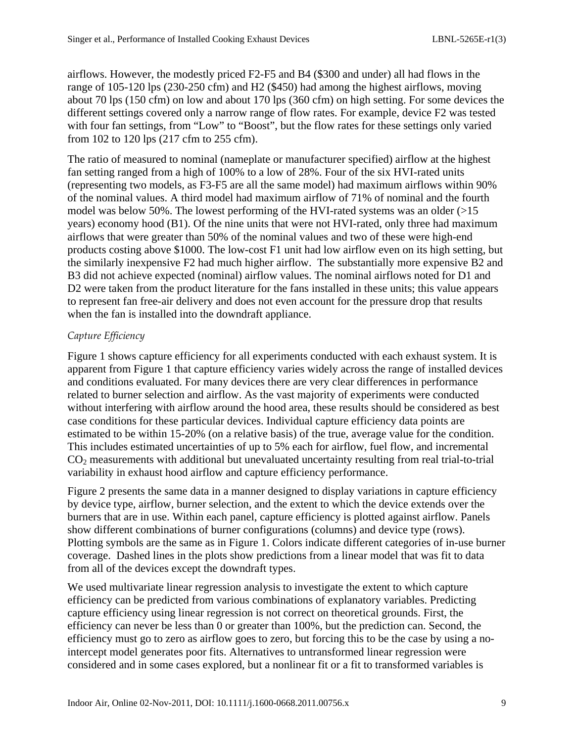airflows. However, the modestly priced F2-F5 and B4 (\$300 and under) all had flows in the range of 105-120 lps (230-250 cfm) and H2 (\$450) had among the highest airflows, moving about 70 lps (150 cfm) on low and about 170 lps (360 cfm) on high setting. For some devices the different settings covered only a narrow range of flow rates. For example, device F2 was tested with four fan settings, from "Low" to "Boost", but the flow rates for these settings only varied from 102 to 120 lps (217 cfm to 255 cfm).

The ratio of measured to nominal (nameplate or manufacturer specified) airflow at the highest fan setting ranged from a high of 100% to a low of 28%. Four of the six HVI-rated units (representing two models, as F3-F5 are all the same model) had maximum airflows within 90% of the nominal values. A third model had maximum airflow of 71% of nominal and the fourth model was below 50%. The lowest performing of the HVI-rated systems was an older  $(>15$ years) economy hood (B1). Of the nine units that were not HVI-rated, only three had maximum airflows that were greater than 50% of the nominal values and two of these were high-end products costing above \$1000. The low-cost F1 unit had low airflow even on its high setting, but the similarly inexpensive F2 had much higher airflow. The substantially more expensive B2 and B3 did not achieve expected (nominal) airflow values. The nominal airflows noted for D1 and D2 were taken from the product literature for the fans installed in these units; this value appears to represent fan free-air delivery and does not even account for the pressure drop that results when the fan is installed into the downdraft appliance.

### *Capture Efficiency*

Figure 1 shows capture efficiency for all experiments conducted with each exhaust system. It is apparent from Figure 1 that capture efficiency varies widely across the range of installed devices and conditions evaluated. For many devices there are very clear differences in performance related to burner selection and airflow. As the vast majority of experiments were conducted without interfering with airflow around the hood area, these results should be considered as best case conditions for these particular devices. Individual capture efficiency data points are estimated to be within 15-20% (on a relative basis) of the true, average value for the condition. This includes estimated uncertainties of up to 5% each for airflow, fuel flow, and incremental CO<sub>2</sub> measurements with additional but unevaluated uncertainty resulting from real trial-to-trial variability in exhaust hood airflow and capture efficiency performance.

Figure 2 presents the same data in a manner designed to display variations in capture efficiency by device type, airflow, burner selection, and the extent to which the device extends over the burners that are in use. Within each panel, capture efficiency is plotted against airflow. Panels show different combinations of burner configurations (columns) and device type (rows). Plotting symbols are the same as in Figure 1. Colors indicate different categories of in-use burner coverage. Dashed lines in the plots show predictions from a linear model that was fit to data from all of the devices except the downdraft types.

We used multivariate linear regression analysis to investigate the extent to which capture efficiency can be predicted from various combinations of explanatory variables. Predicting capture efficiency using linear regression is not correct on theoretical grounds. First, the efficiency can never be less than 0 or greater than 100%, but the prediction can. Second, the efficiency must go to zero as airflow goes to zero, but forcing this to be the case by using a nointercept model generates poor fits. Alternatives to untransformed linear regression were considered and in some cases explored, but a nonlinear fit or a fit to transformed variables is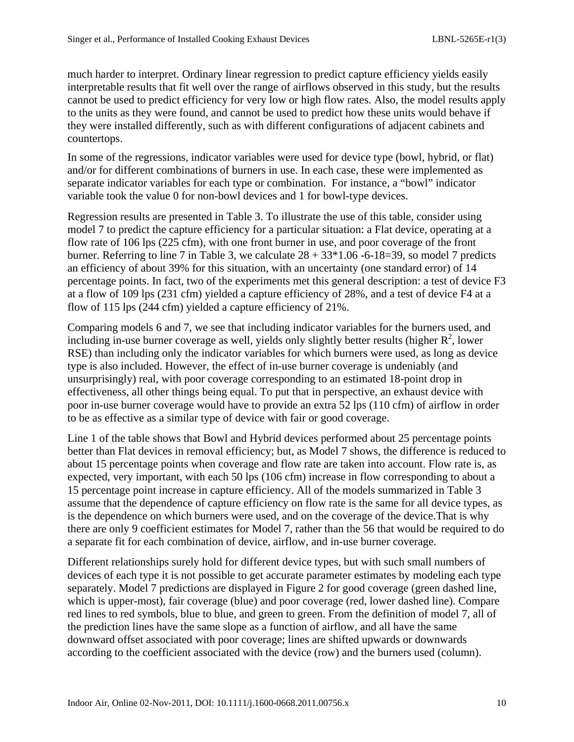much harder to interpret. Ordinary linear regression to predict capture efficiency yields easily interpretable results that fit well over the range of airflows observed in this study, but the results cannot be used to predict efficiency for very low or high flow rates. Also, the model results apply to the units as they were found, and cannot be used to predict how these units would behave if they were installed differently, such as with different configurations of adjacent cabinets and countertops.

In some of the regressions, indicator variables were used for device type (bowl, hybrid, or flat) and/or for different combinations of burners in use. In each case, these were implemented as separate indicator variables for each type or combination. For instance, a "bowl" indicator variable took the value 0 for non-bowl devices and 1 for bowl-type devices.

Regression results are presented in Table 3. To illustrate the use of this table, consider using model 7 to predict the capture efficiency for a particular situation: a Flat device, operating at a flow rate of 106 lps (225 cfm), with one front burner in use, and poor coverage of the front burner. Referring to line 7 in Table 3, we calculate  $28 + 33*1.06 - 6-18=39$ , so model 7 predicts an efficiency of about 39% for this situation, with an uncertainty (one standard error) of 14 percentage points. In fact, two of the experiments met this general description: a test of device F3 at a flow of 109 lps (231 cfm) yielded a capture efficiency of 28%, and a test of device F4 at a flow of 115 lps (244 cfm) yielded a capture efficiency of 21%.

Comparing models 6 and 7, we see that including indicator variables for the burners used, and including in-use burner coverage as well, yields only slightly better results (higher  $\mathbb{R}^2$ , lower RSE) than including only the indicator variables for which burners were used, as long as device type is also included. However, the effect of in-use burner coverage is undeniably (and unsurprisingly) real, with poor coverage corresponding to an estimated 18-point drop in effectiveness, all other things being equal. To put that in perspective, an exhaust device with poor in-use burner coverage would have to provide an extra 52 lps (110 cfm) of airflow in order to be as effective as a similar type of device with fair or good coverage.

Line 1 of the table shows that Bowl and Hybrid devices performed about 25 percentage points better than Flat devices in removal efficiency; but, as Model 7 shows, the difference is reduced to about 15 percentage points when coverage and flow rate are taken into account. Flow rate is, as expected, very important, with each 50 lps (106 cfm) increase in flow corresponding to about a 15 percentage point increase in capture efficiency. All of the models summarized in Table 3 assume that the dependence of capture efficiency on flow rate is the same for all device types, as is the dependence on which burners were used, and on the coverage of the device.That is why there are only 9 coefficient estimates for Model 7, rather than the 56 that would be required to do a separate fit for each combination of device, airflow, and in-use burner coverage.

Different relationships surely hold for different device types, but with such small numbers of devices of each type it is not possible to get accurate parameter estimates by modeling each type separately. Model 7 predictions are displayed in Figure 2 for good coverage (green dashed line, which is upper-most), fair coverage (blue) and poor coverage (red, lower dashed line). Compare red lines to red symbols, blue to blue, and green to green. From the definition of model 7, all of the prediction lines have the same slope as a function of airflow, and all have the same downward offset associated with poor coverage; lines are shifted upwards or downwards according to the coefficient associated with the device (row) and the burners used (column).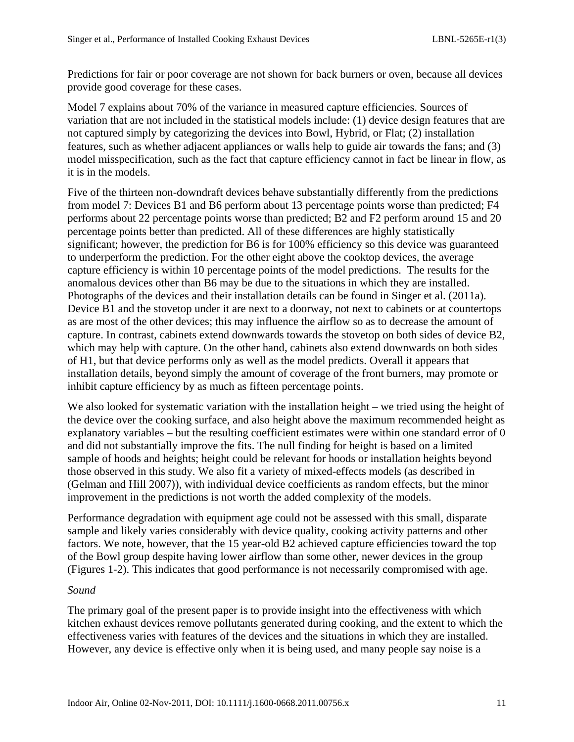Predictions for fair or poor coverage are not shown for back burners or oven, because all devices provide good coverage for these cases.

Model 7 explains about 70% of the variance in measured capture efficiencies. Sources of variation that are not included in the statistical models include: (1) device design features that are not captured simply by categorizing the devices into Bowl, Hybrid, or Flat; (2) installation features, such as whether adjacent appliances or walls help to guide air towards the fans; and (3) model misspecification, such as the fact that capture efficiency cannot in fact be linear in flow, as it is in the models.

Five of the thirteen non-downdraft devices behave substantially differently from the predictions from model 7: Devices B1 and B6 perform about 13 percentage points worse than predicted; F4 performs about 22 percentage points worse than predicted; B2 and F2 perform around 15 and 20 percentage points better than predicted. All of these differences are highly statistically significant; however, the prediction for B6 is for 100% efficiency so this device was guaranteed to underperform the prediction. For the other eight above the cooktop devices, the average capture efficiency is within 10 percentage points of the model predictions. The results for the anomalous devices other than B6 may be due to the situations in which they are installed. Photographs of the devices and their installation details can be found in Singer et al. (2011a). Device B1 and the stovetop under it are next to a doorway, not next to cabinets or at countertops as are most of the other devices; this may influence the airflow so as to decrease the amount of capture. In contrast, cabinets extend downwards towards the stovetop on both sides of device B2, which may help with capture. On the other hand, cabinets also extend downwards on both sides of H1, but that device performs only as well as the model predicts. Overall it appears that installation details, beyond simply the amount of coverage of the front burners, may promote or inhibit capture efficiency by as much as fifteen percentage points.

We also looked for systematic variation with the installation height – we tried using the height of the device over the cooking surface, and also height above the maximum recommended height as explanatory variables – but the resulting coefficient estimates were within one standard error of 0 and did not substantially improve the fits. The null finding for height is based on a limited sample of hoods and heights; height could be relevant for hoods or installation heights beyond those observed in this study. We also fit a variety of mixed-effects models (as described in ([Gelman and Hill 2007\)](#page-12-5)), with individual device coefficients as random effects, but the minor improvement in the predictions is not worth the added complexity of the models.

Performance degradation with equipment age could not be assessed with this small, disparate sample and likely varies considerably with device quality, cooking activity patterns and other factors. We note, however, that the 15 year-old B2 achieved capture efficiencies toward the top of the Bowl group despite having lower airflow than some other, newer devices in the group (Figures 1-2). This indicates that good performance is not necessarily compromised with age.

#### *Sound*

The primary goal of the present paper is to provide insight into the effectiveness with which kitchen exhaust devices remove pollutants generated during cooking, and the extent to which the effectiveness varies with features of the devices and the situations in which they are installed. However, any device is effective only when it is being used, and many people say noise is a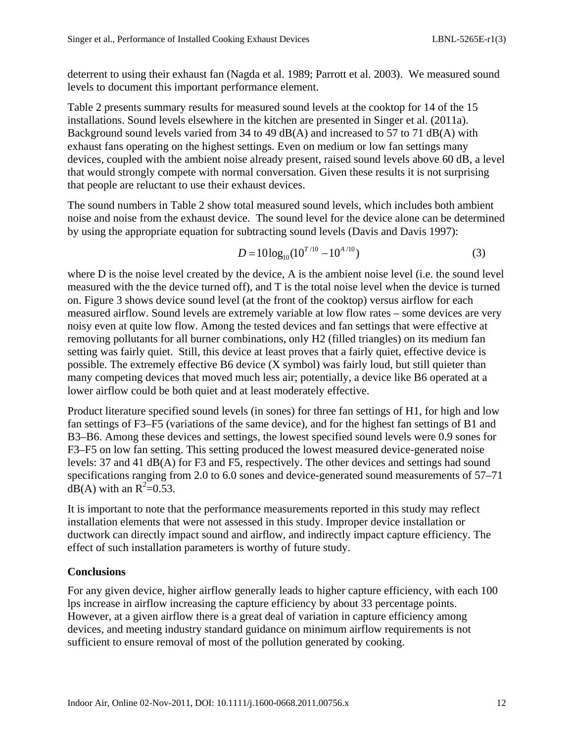deterrent to using their exhaust fan ([Nagda et al. 1989;](#page-13-14) [Parrott et al. 2003\)](#page-13-5). We measured sound levels to document this important performance element.

Table 2 presents summary results for measured sound levels at the cooktop for 14 of the 15 installations. Sound levels elsewhere in the kitchen are presented in Singer et al. (2011a). Background sound levels varied from 34 to 49 dB(A) and increased to 57 to 71 dB(A) with exhaust fans operating on the highest settings. Even on medium or low fan settings many devices, coupled with the ambient noise already present, raised sound levels above 60 dB, a level that would strongly compete with normal conversation. Given these results it is not surprising that people are reluctant to use their exhaust devices.

The sound numbers in Table 2 show total measured sound levels, which includes both ambient noise and noise from the exhaust device. The sound level for the device alone can be determined by using the appropriate equation for subtracting sound levels ([Davis and Davis 1997\)](#page-14-0):

$$
D = 10\log_{10}(10^{T/10} - 10^{A/10})
$$
\n(3)

where D is the noise level created by the device, A is the ambient noise level (i.e. the sound level measured with the the device turned off), and T is the total noise level when the device is turned on. Figure 3 shows device sound level (at the front of the cooktop) versus airflow for each measured airflow. Sound levels are extremely variable at low flow rates – some devices are very noisy even at quite low flow. Among the tested devices and fan settings that were effective at removing pollutants for all burner combinations, only H2 (filled triangles) on its medium fan setting was fairly quiet. Still, this device at least proves that a fairly quiet, effective device is possible. The extremely effective B6 device (X symbol) was fairly loud, but still quieter than many competing devices that moved much less air; potentially, a device like B6 operated at a lower airflow could be both quiet and at least moderately effective.

Product literature specified sound levels (in sones) for three fan settings of H1, for high and low fan settings of F3–F5 (variations of the same device), and for the highest fan settings of B1 and B3–B6. Among these devices and settings, the lowest specified sound levels were 0.9 sones for F3–F5 on low fan setting. This setting produced the lowest measured device-generated noise levels: 37 and 41 dB(A) for F3 and F5, respectively. The other devices and settings had sound specifications ranging from 2.0 to 6.0 sones and device-generated sound measurements of 57–71  $dB(A)$  with an  $R^2=0.53$ .

It is important to note that the performance measurements reported in this study may reflect installation elements that were not assessed in this study. Improper device installation or ductwork can directly impact sound and airflow, and indirectly impact capture efficiency. The effect of such installation parameters is worthy of future study.

## **Conclusions**

For any given device, higher airflow generally leads to higher capture efficiency, with each 100 lps increase in airflow increasing the capture efficiency by about 33 percentage points. However, at a given airflow there is a great deal of variation in capture efficiency among devices, and meeting industry standard guidance on minimum airflow requirements is not sufficient to ensure removal of most of the pollution generated by cooking.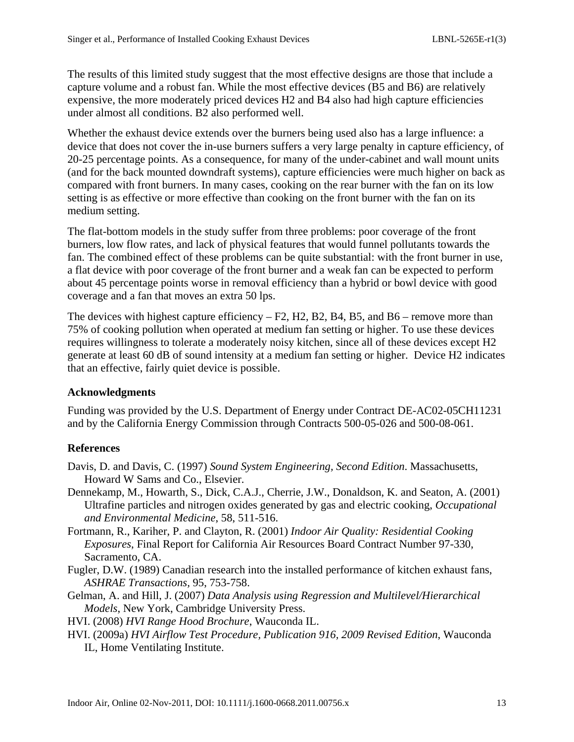The results of this limited study suggest that the most effective designs are those that include a capture volume and a robust fan. While the most effective devices (B5 and B6) are relatively expensive, the more moderately priced devices H2 and B4 also had high capture efficiencies under almost all conditions. B2 also performed well.

Whether the exhaust device extends over the burners being used also has a large influence: a device that does not cover the in-use burners suffers a very large penalty in capture efficiency, of 20-25 percentage points. As a consequence, for many of the under-cabinet and wall mount units (and for the back mounted downdraft systems), capture efficiencies were much higher on back as compared with front burners. In many cases, cooking on the rear burner with the fan on its low setting is as effective or more effective than cooking on the front burner with the fan on its medium setting.

The flat-bottom models in the study suffer from three problems: poor coverage of the front burners, low flow rates, and lack of physical features that would funnel pollutants towards the fan. The combined effect of these problems can be quite substantial: with the front burner in use, a flat device with poor coverage of the front burner and a weak fan can be expected to perform about 45 percentage points worse in removal efficiency than a hybrid or bowl device with good coverage and a fan that moves an extra 50 lps.

The devices with highest capture efficiency  $- F2$ , H2, B2, B4, B5, and B6 – remove more than 75% of cooking pollution when operated at medium fan setting or higher. To use these devices requires willingness to tolerate a moderately noisy kitchen, since all of these devices except H2 generate at least 60 dB of sound intensity at a medium fan setting or higher. Device H2 indicates that an effective, fairly quiet device is possible.

#### **Acknowledgments**

Funding was provided by the U.S. Department of Energy under Contract DE-AC02-05CH11231 and by the California Energy Commission through Contracts 500-05-026 and 500-08-061.

## **References**

- Davis, D. and Davis, C. (1997) *Sound System Engineering, Second Edition*. Massachusetts, Howard W Sams and Co., Elsevier.
- <span id="page-12-0"></span>Dennekamp, M., Howarth, S., Dick, C.A.J., Cherrie, J.W., Donaldson, K. and Seaton, A. (2001) Ultrafine particles and nitrogen oxides generated by gas and electric cooking, *Occupational and Environmental Medicine*, 58, 511-516.
- <span id="page-12-1"></span>Fortmann, R., Kariher, P. and Clayton, R. (2001) *Indoor Air Quality: Residential Cooking Exposures*, Final Report for California Air Resources Board Contract Number 97-330, Sacramento, CA.
- <span id="page-12-2"></span>Fugler, D.W. (1989) Canadian research into the installed performance of kitchen exhaust fans, *ASHRAE Transactions,* 95, 753-758.
- <span id="page-12-5"></span>Gelman, A. and Hill, J. (2007) *Data Analysis using Regression and Multilevel/Hierarchical Models*, New York, Cambridge University Press.
- <span id="page-12-4"></span>HVI. (2008) *HVI Range Hood Brochure*, Wauconda IL.
- <span id="page-12-3"></span>HVI. (2009a) *HVI Airflow Test Procedure, Publication 916, 2009 Revised Edition*, Wauconda IL, Home Ventilating Institute.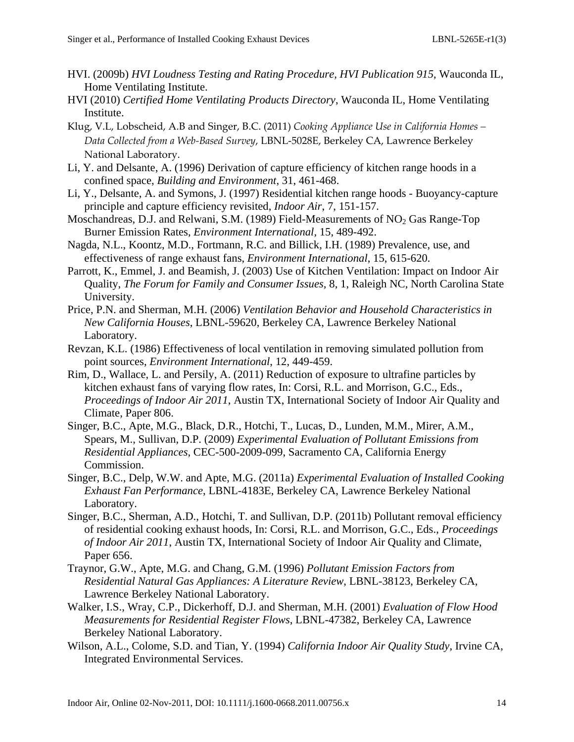- <span id="page-13-8"></span>HVI. (2009b) *HVI Loudness Testing and Rating Procedure, HVI Publication 915*, Wauconda IL, Home Ventilating Institute.
- <span id="page-13-4"></span>HVI (2010) *Certified Home Ventilating Products Directory*, Wauconda IL, Home Ventilating Institute.
- <span id="page-13-12"></span>Klug, V.L, Lobscheid, A.B and Singer, B.C. (2011) *Cooking Appliance Use in California Homes – Data Collected from a Web‐Based Survey*, LBNL‐5028E, Berkeley CA, Lawrence Berkeley National Laboratory.
- Li, Y. and Delsante, A. (1996) Derivation of capture efficiency of kitchen range hoods in a confined space, *Building and Environment*, 31, 461-468.
- <span id="page-13-13"></span>Li, Y., Delsante, A. and Symons, J. (1997) Residential kitchen range hoods - Buoyancy-capture principle and capture efficiency revisited, *Indoor Air*, 7, 151-157.
- <span id="page-13-0"></span>Moschandreas, D.J. and Relwani, S.M. (1989) Field-Measurements of  $NO<sub>2</sub>$  Gas Range-Top Burner Emission Rates, *Environment International,* 15, 489-492.
- <span id="page-13-14"></span>Nagda, N.L., Koontz, M.D., Fortmann, R.C. and Billick, I.H. (1989) Prevalence, use, and effectiveness of range exhaust fans, *Environment International*, 15, 615-620.
- <span id="page-13-5"></span>Parrott, K., Emmel, J. and Beamish, J. (2003) Use of Kitchen Ventilation: Impact on Indoor Air Quality, *The Forum for Family and Consumer Issues,* 8, 1, Raleigh NC, North Carolina State University.
- <span id="page-13-6"></span>Price, P.N. and Sherman, M.H. (2006) *Ventilation Behavior and Household Characteristics in New California Houses*, LBNL-59620, Berkeley CA, Lawrence Berkeley National Laboratory.
- <span id="page-13-3"></span>Revzan, K.L. (1986) Effectiveness of local ventilation in removing simulated pollution from point sources, *Environment International*, 12, 449-459.
- <span id="page-13-1"></span>Rim, D., Wallace, L. and Persily, A. (2011) Reduction of exposure to ultrafine particles by kitchen exhaust fans of varying flow rates, In: Corsi, R.L. and Morrison, G.C., Eds., *Proceedings of Indoor Air 2011*, Austin TX, International Society of Indoor Air Quality and Climate, Paper 806.
- Singer, B.C., Apte, M.G., Black, D.R., Hotchi, T., Lucas, D., Lunden, M.M., Mirer, A.M., Spears, M., Sullivan, D.P. (2009) *Experimental Evaluation of Pollutant Emissions from Residential Appliances*, CEC-500-2009-099, Sacramento CA, California Energy Commission.
- <span id="page-13-9"></span>Singer, B.C., Delp, W.W. and Apte, M.G. (2011a) *Experimental Evaluation of Installed Cooking Exhaust Fan Performance*, LBNL-4183E, Berkeley CA, Lawrence Berkeley National Laboratory.
- <span id="page-13-11"></span>Singer, B.C., Sherman, A.D., Hotchi, T. and Sullivan, D.P. (2011b) Pollutant removal efficiency of residential cooking exhaust hoods, In: Corsi, R.L. and Morrison, G.C., Eds., *Proceedings of Indoor Air 2011*, Austin TX, International Society of Indoor Air Quality and Climate, Paper 656.
- <span id="page-13-2"></span>Traynor, G.W., Apte, M.G. and Chang, G.M. (1996) *Pollutant Emission Factors from Residential Natural Gas Appliances: A Literature Review*, LBNL-38123, Berkeley CA, Lawrence Berkeley National Laboratory.
- <span id="page-13-10"></span>Walker, I.S., Wray, C.P., Dickerhoff, D.J. and Sherman, M.H. (2001) *Evaluation of Flow Hood Measurements for Residential Register Flows*, LBNL-47382, Berkeley CA, Lawrence Berkeley National Laboratory.
- <span id="page-13-7"></span>Wilson, A.L., Colome, S.D. and Tian, Y. (1994) *California Indoor Air Quality Study*, Irvine CA, Integrated Environmental Services.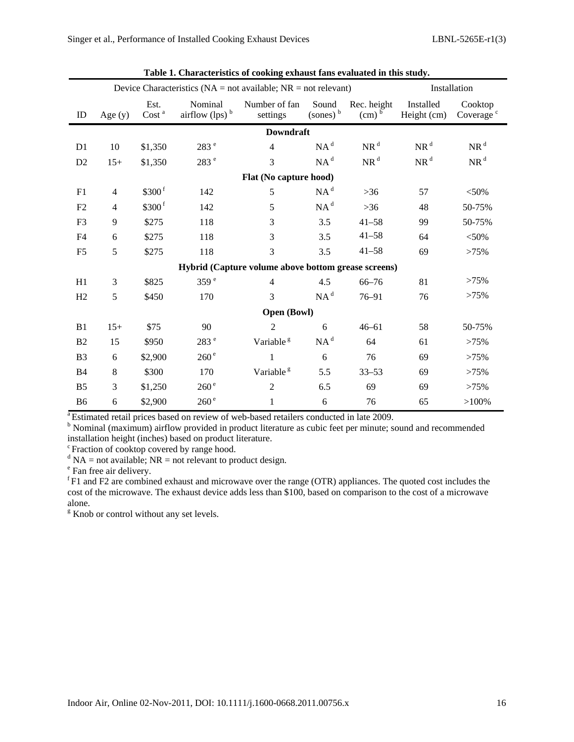|                                                     |                        | Device Characteristics ( $NA = not available$ ; $NR = not relevant$ ) | Installation                          |                           |                                      |                                         |                          |                                  |  |  |  |
|-----------------------------------------------------|------------------------|-----------------------------------------------------------------------|---------------------------------------|---------------------------|--------------------------------------|-----------------------------------------|--------------------------|----------------------------------|--|--|--|
| ID                                                  | Age $(y)$              | Est.<br>Cost <sup>a</sup>                                             | Nominal<br>airflow (lps) <sup>b</sup> | Number of fan<br>settings | Sound<br>$\text{(sones)}^{\text{b}}$ | Rec. height<br>$\text{cm}$ ) $\text{b}$ | Installed<br>Height (cm) | Cooktop<br>Coverage <sup>c</sup> |  |  |  |
|                                                     | <b>Downdraft</b>       |                                                                       |                                       |                           |                                      |                                         |                          |                                  |  |  |  |
| D <sub>1</sub>                                      | 10                     | \$1,350                                                               | 283 <sup>e</sup>                      | $\overline{4}$            | NA <sup>d</sup>                      | NR <sup>d</sup>                         | NR <sup>d</sup>          | NR <sup>d</sup>                  |  |  |  |
| D <sub>2</sub>                                      | $15+$                  | \$1,350                                                               | $283$ $^{\rm e}$                      | 3                         |                                      | NR <sup>d</sup>                         | $NR^d$                   | NR <sup>d</sup>                  |  |  |  |
|                                                     | Flat (No capture hood) |                                                                       |                                       |                           |                                      |                                         |                          |                                  |  |  |  |
| F1                                                  | $\overline{4}$         | \$300 <sup>f</sup>                                                    | 142                                   | 5                         | NA <sup>d</sup>                      | $>36$                                   | 57                       | $<$ 50%                          |  |  |  |
| F <sub>2</sub>                                      | $\overline{4}$         | \$300 <sup>f</sup>                                                    | 142                                   | 5                         | NA <sup>d</sup>                      | $>36$                                   | 48                       | 50-75%                           |  |  |  |
| F <sub>3</sub>                                      | 9                      | \$275                                                                 | 118                                   | 3                         | 3.5                                  | $41 - 58$                               | 99                       | 50-75%                           |  |  |  |
| F <sub>4</sub>                                      | 6                      | \$275                                                                 | 118                                   | 3                         | 3.5                                  | $41 - 58$                               | 64                       | < 50%                            |  |  |  |
| F <sub>5</sub>                                      | 5                      | \$275                                                                 | 118                                   | 3                         |                                      | $41 - 58$                               | 69                       | >75%                             |  |  |  |
| Hybrid (Capture volume above bottom grease screens) |                        |                                                                       |                                       |                           |                                      |                                         |                          |                                  |  |  |  |
| H1                                                  | 3                      | \$825                                                                 | $359$ $^{\rm e}$                      | $\overline{4}$            | 4.5                                  | $66 - 76$                               | 81                       | >75%                             |  |  |  |
| H2                                                  | 5                      | \$450                                                                 | 170                                   | 3                         | NA <sup>d</sup>                      | $76 - 91$                               | 76                       | >75%                             |  |  |  |
| <b>Open (Bowl)</b>                                  |                        |                                                                       |                                       |                           |                                      |                                         |                          |                                  |  |  |  |
| B1                                                  | $15+$                  | \$75                                                                  | 90                                    | $\overline{c}$            | 6                                    | $46 - 61$                               | 58                       | 50-75%                           |  |  |  |
| B <sub>2</sub>                                      | 15                     | \$950                                                                 | 283 <sup>e</sup>                      | Variable <sup>g</sup>     | NA <sup>d</sup>                      | 64                                      | 61                       | $>75\%$                          |  |  |  |
| B <sub>3</sub>                                      | 6                      | \$2,900                                                               | 260 <sup>e</sup>                      | 1                         | 6                                    | 76                                      | 69                       | >75%                             |  |  |  |
| <b>B4</b>                                           | 8                      | \$300                                                                 | 170                                   | Variable <sup>g</sup>     | 5.5                                  | $33 - 53$                               | 69                       | >75%                             |  |  |  |
| B <sub>5</sub>                                      | 3                      | \$1,250                                                               | 260 <sup>e</sup>                      | $\overline{2}$            | 6.5                                  | 69                                      | 69                       | $>75\%$                          |  |  |  |
| <b>B6</b>                                           | 6                      | \$2,900                                                               | 260 <sup>e</sup>                      | $\mathbf{1}$              | 6                                    | 76                                      | 65                       | $>100\%$                         |  |  |  |

| Table 1. Characteristics of cooking exhaust fans evaluated in this study. |
|---------------------------------------------------------------------------|
|---------------------------------------------------------------------------|

<sup>a</sup> Estimated retail prices based on review of web-based retailers conducted in late 2009.

<sup>b</sup> Nominal (maximum) airflow provided in product literature as cubic feet per minute; sound and recommended installation height (inches) based on product literature.

<sup>c</sup> Fraction of cooktop covered by range hood.

 $d$  NA = not available; NR = not relevant to product design.

e Fan free air delivery.

 $f_{\rm F1}$  and F2 are combined exhaust and microwave over the range (OTR) appliances. The quoted cost includes the cost of the microwave. The exhaust device adds less than \$100, based on comparison to the cost of a microwave alone.

<sup>g</sup> Knob or control without any set levels.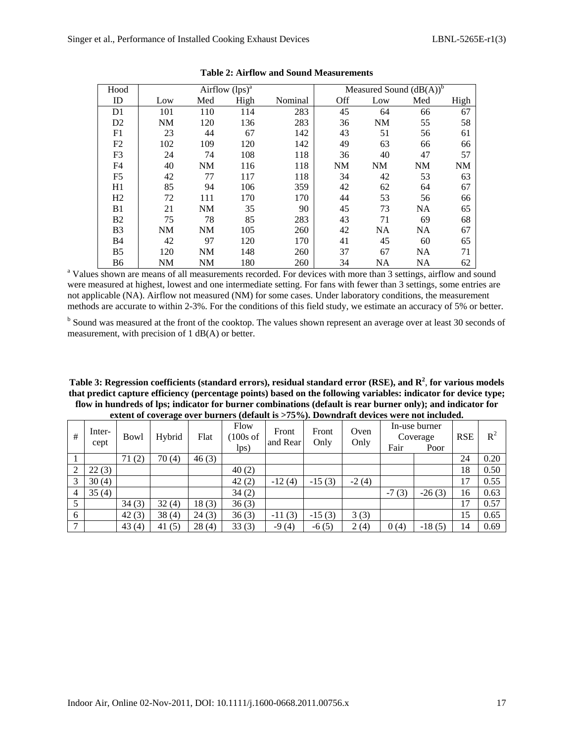| Hood           |           |           | Airflow $(lps)^a$ |         | Measured Sound $(dB(A))$ <sup>b</sup> |           |           |           |  |
|----------------|-----------|-----------|-------------------|---------|---------------------------------------|-----------|-----------|-----------|--|
| ID             | Low       | Med       | High              | Nominal | Off                                   | Low       | Med       | High      |  |
| D1             | 101       | 110       | 114               | 283     | 45                                    | 64        | 66        | 67        |  |
| D <sub>2</sub> | NM        | 120       | 136               | 283     | 36                                    | NM        | 55        | 58        |  |
| F1             | 23        | 44        | 67                | 142     | 43                                    | 51        | 56        | 61        |  |
| F2             | 102       | 109       | 120               | 142     | 49                                    | 63        | 66        | 66        |  |
| F3             | 24        | 74        | 108               | 118     | 36                                    | 40        | 47        | 57        |  |
| F4             | 40        | NM        | 116               | 118     | <b>NM</b>                             | <b>NM</b> | NM        | <b>NM</b> |  |
| F5             | 42        | 77        | 117               | 118     | 34                                    | 42        | 53        | 63        |  |
| H1             | 85        | 94        | 106               | 359     | 42                                    | 62        | 64        | 67        |  |
| H2             | 72        | 111       | 170               | 170     | 44                                    | 53        | 56        | 66        |  |
| B1             | 21        | NM        | 35                | 90      | 45                                    | 73        | <b>NA</b> | 65        |  |
| B2             | 75        | 78        | 85                | 283     | 43                                    | 71        | 69        | 68        |  |
| B <sub>3</sub> | <b>NM</b> | <b>NM</b> | 105               | 260     | 42                                    | <b>NA</b> | <b>NA</b> | 67        |  |
| <b>B4</b>      | 42        | 97        | 120               | 170     | 41                                    | 45        | 60        | 65        |  |
| B5             | 120       | NM        | 148               | 260     | 37                                    | 67        | <b>NA</b> | 71        |  |
| B6             | <b>NM</b> | NΜ        | 180               | 260     | 34                                    | NA        | NA        | 62        |  |

#### **Table 2: Airflow and Sound Measurements**

B6 NM NM 180 260 34 NA NA 62 a Values shown are means of all measurements recorded. For devices with more than 3 settings, airflow and sound were measured at highest, lowest and one intermediate setting. For fans with fewer than 3 settings, some entries are not applicable (NA). Airflow not measured (NM) for some cases. Under laboratory conditions, the measurement methods are accurate to within 2-3%. For the conditions of this field study, we estimate an accuracy of 5% or better.

<sup>b</sup> Sound was measured at the front of the cooktop. The values shown represent an average over at least 30 seconds of measurement, with precision of 1 dB(A) or better.

| Table 3: Regression coefficients (standard errors), residual standard error (RSE), and $\mathbb{R}^2$ , for various models |
|----------------------------------------------------------------------------------------------------------------------------|
| that predict capture efficiency (percentage points) based on the following variables: indicator for device type;           |
| flow in hundreds of lps; indicator for burner combinations (default is rear burner only); and indicator for                |
| extent of coverage over burners (default is >75%). Downdraft devices were not included.                                    |

| #            | Inter-<br>cept | Bowl  | $\circ$<br>Hybrid | Flat      | Flow<br>$100s$ of<br>lps) | Front<br>and Rear | Front<br>Only | Oven<br>Only | Fair    | In-use burner<br>Coverage<br>Poor | <b>RSE</b> | $R^2$ |
|--------------|----------------|-------|-------------------|-----------|---------------------------|-------------------|---------------|--------------|---------|-----------------------------------|------------|-------|
|              |                | 71(2) | 70(4)             | 46(3)     |                           |                   |               |              |         |                                   | 24         | 0.20  |
| ◠            | 22(3)          |       |                   |           | 40(2)                     |                   |               |              |         |                                   | 18         | 0.50  |
| 3            | 30(4)          |       |                   |           | 42(2)                     | $-12(4)$          | $-15(3)$      | $-2(4)$      |         |                                   | 17         | 0.55  |
| 4            | 35(4)          |       |                   |           | 34(2)                     |                   |               |              | $-7(3)$ | $-26(3)$                          | 16         | 0.63  |
| 5            |                | 34(3) | 32(4)             | 18(3)     | 36(3)                     |                   |               |              |         |                                   | 17         | 0.57  |
| 6            |                | 42(3) | 38(4)             | 24(3)     | 36(3)                     | $-11(3)$          | $-15(3)$      | 3(3)         |         |                                   | 15         | 0.65  |
| $\mathbf{r}$ |                | 43(4) | 41(5)             | 28<br>(4) | 33(3)                     | $-9(4)$           | $-6(5)$       | 2(4)         | 0(4)    | $-18(5)$                          | 14         | 0.69  |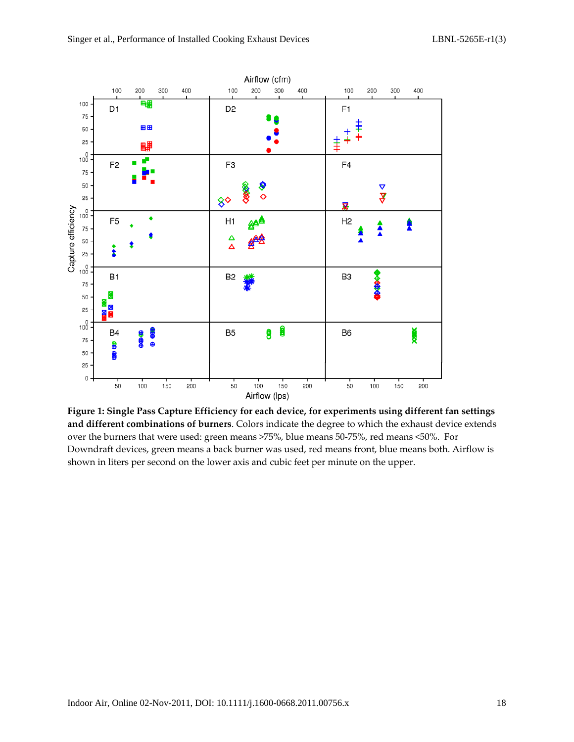

**Figure 1: Single Pass Capture Efficiency for each device, for experiments using different fan settings and different combinations of burners**. Colors indicate the degree to which the exhaust device extends over the burners that were used: green means >75%, blue means 50‐75%, red means <50%. For Downdraft devices, green means a back burner was used, red means front, blue means both. Airflow is shown in liters per second on the lower axis and cubic feet per minute on the upper.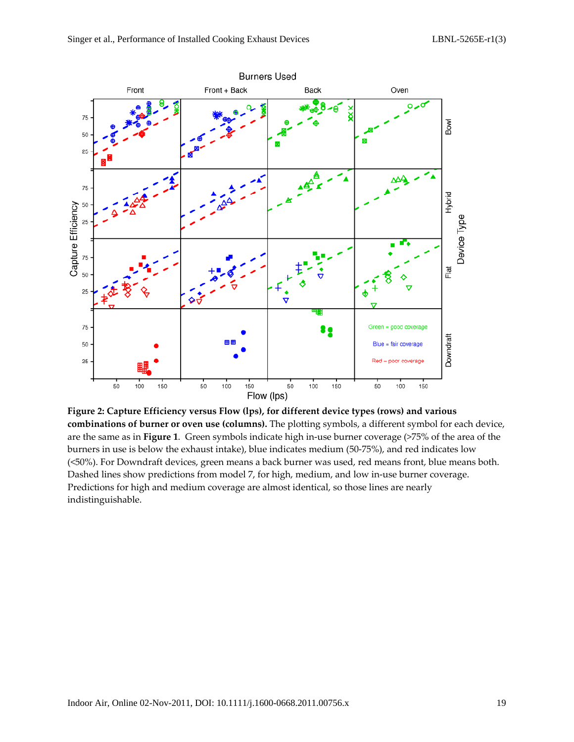

**Figure 2: Capture Efficiency versus Flow (lps), for different device types (rows) and various combinations of burner or oven use (columns).** The plotting symbols, a different symbol for each device, are the same as in **Figure 1**. Green symbols indicate high in‐use burner coverage (>75% of the area of the burners in use is below the exhaust intake), blue indicates medium (50‐75%), and red indicates low (<50%). For Downdraft devices, green means a back burner was used, red means front, blue means both. Dashed lines show predictions from model 7, for high, medium, and low in‐use burner coverage. Predictions for high and medium coverage are almost identical, so those lines are nearly indistinguishable.